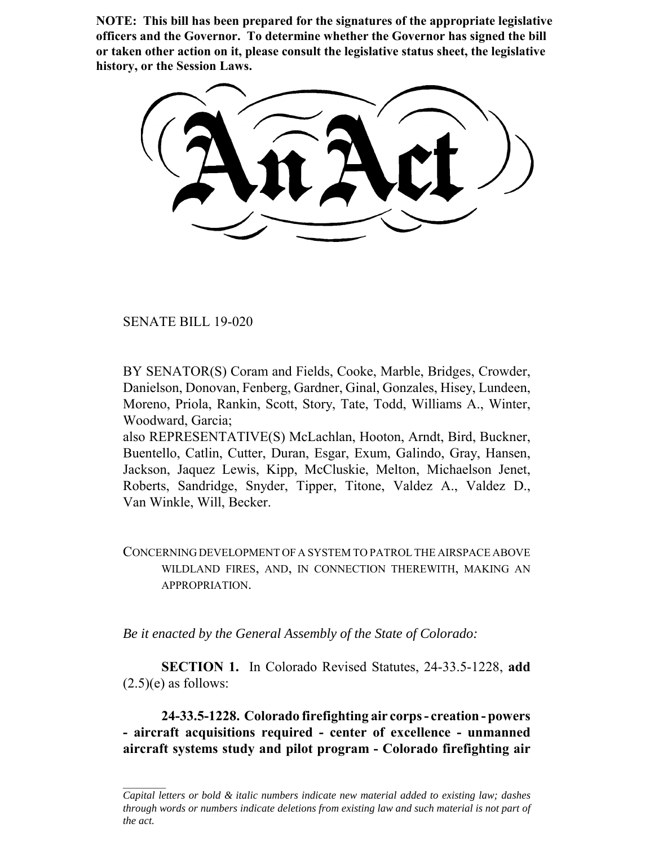**NOTE: This bill has been prepared for the signatures of the appropriate legislative officers and the Governor. To determine whether the Governor has signed the bill or taken other action on it, please consult the legislative status sheet, the legislative history, or the Session Laws.**

SENATE BILL 19-020

BY SENATOR(S) Coram and Fields, Cooke, Marble, Bridges, Crowder, Danielson, Donovan, Fenberg, Gardner, Ginal, Gonzales, Hisey, Lundeen, Moreno, Priola, Rankin, Scott, Story, Tate, Todd, Williams A., Winter, Woodward, Garcia;

also REPRESENTATIVE(S) McLachlan, Hooton, Arndt, Bird, Buckner, Buentello, Catlin, Cutter, Duran, Esgar, Exum, Galindo, Gray, Hansen, Jackson, Jaquez Lewis, Kipp, McCluskie, Melton, Michaelson Jenet, Roberts, Sandridge, Snyder, Tipper, Titone, Valdez A., Valdez D., Van Winkle, Will, Becker.

CONCERNING DEVELOPMENT OF A SYSTEM TO PATROL THE AIRSPACE ABOVE WILDLAND FIRES, AND, IN CONNECTION THEREWITH, MAKING AN APPROPRIATION.

*Be it enacted by the General Assembly of the State of Colorado:*

**SECTION 1.** In Colorado Revised Statutes, 24-33.5-1228, **add**  $(2.5)(e)$  as follows:

**24-33.5-1228. Colorado firefighting air corps - creation - powers - aircraft acquisitions required - center of excellence - unmanned aircraft systems study and pilot program - Colorado firefighting air**

*Capital letters or bold & italic numbers indicate new material added to existing law; dashes through words or numbers indicate deletions from existing law and such material is not part of the act.*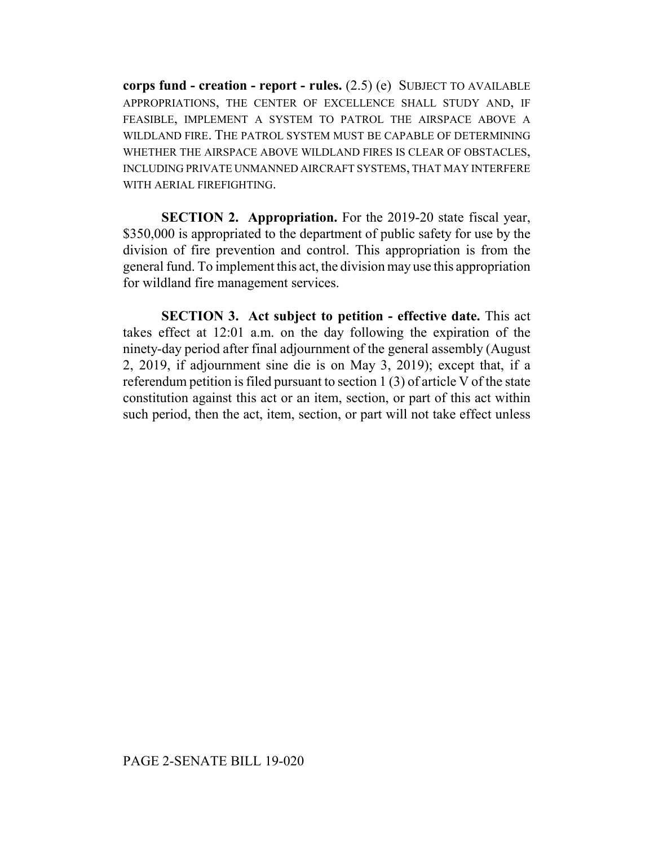**corps fund - creation - report - rules.** (2.5) (e) SUBJECT TO AVAILABLE APPROPRIATIONS, THE CENTER OF EXCELLENCE SHALL STUDY AND, IF FEASIBLE, IMPLEMENT A SYSTEM TO PATROL THE AIRSPACE ABOVE A WILDLAND FIRE. THE PATROL SYSTEM MUST BE CAPABLE OF DETERMINING WHETHER THE AIRSPACE ABOVE WILDLAND FIRES IS CLEAR OF OBSTACLES, INCLUDING PRIVATE UNMANNED AIRCRAFT SYSTEMS, THAT MAY INTERFERE WITH AERIAL FIREFIGHTING.

**SECTION 2. Appropriation.** For the 2019-20 state fiscal year, \$350,000 is appropriated to the department of public safety for use by the division of fire prevention and control. This appropriation is from the general fund. To implement this act, the division may use this appropriation for wildland fire management services.

**SECTION 3. Act subject to petition - effective date.** This act takes effect at 12:01 a.m. on the day following the expiration of the ninety-day period after final adjournment of the general assembly (August 2, 2019, if adjournment sine die is on May 3, 2019); except that, if a referendum petition is filed pursuant to section 1 (3) of article V of the state constitution against this act or an item, section, or part of this act within such period, then the act, item, section, or part will not take effect unless